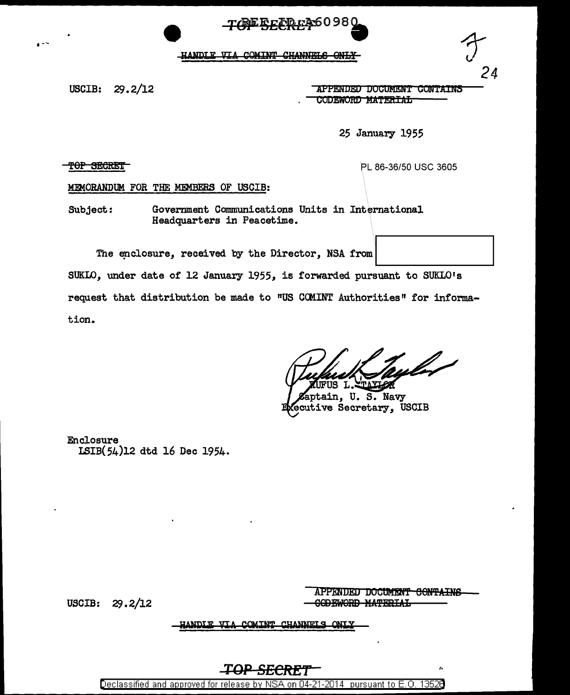| <del>haansen van vollen. Virmando v</del> alle |  | HANDIE VIA COMINE CHANNELS ONLY |  |
|------------------------------------------------|--|---------------------------------|--|
|                                                |  |                                 |  |

TOFFFFREA6098

USCIB:  $29.2/12$  APPENDED DOCUMENT CONTAINS CODEWORD MATERIAL

25 January 1955

TOP SECRET

PL 86-36/50 USC 3605

24

MEMORANDUM FOR THE MEMBERS OF USCIB:

Subject: Government Communications Units in International Headquarters in Peacetime.

The enclosure, received by the Director, NSA from

SUKIO, under date of 12 January 1955, is forwarded pursuant to SUKIO's request that distribution be made to "US COMINT Authorities" for information.

FUS L.

aptain. U. S. Navy xecutive Secretary, USCIB

Enclosure ISIB(54)12 dtd 16 Dec 1954.

USCIB:  $29.2/12$ 

APPENDED DOCUMENT CONTAINS **GODEWORD MATERIAL** 

HANDLE VIA COMINT CHANNELS **ONT 3** 

Declassified and approved for release by NSA on 04-21-2014 pursuant to E.O. 13528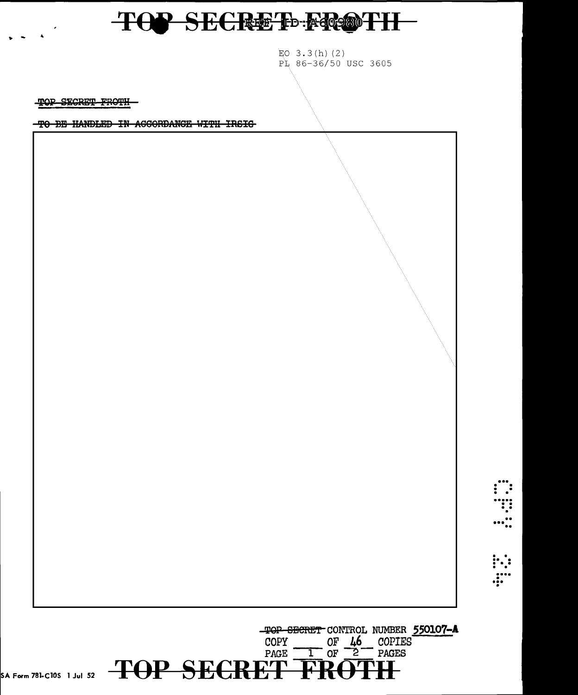## TOP SECRET FRONTH

EO  $3.3(h)$  (2) PL 86-36/50 USC 3605

-TOP-SECRET CONTROL NUMBER 550107-A

TOP SECRET FROTH

-TO BE HANDLED IN ACCORDANCE WITH IRSIG-